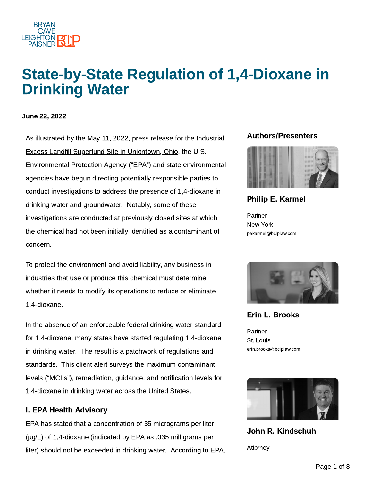

## State-by-State Regulation of 1,4-Dioxane in Drinking Water

### June 22, 2022

As illustrated by the May 11, 2022, press release for the Industrial **Authors/Presenters** [Excess Landfill](https://semspub.epa.gov/work/05/975594.pdf) Superfund Site in Uniontown, Ohio, the U.S. Environmental Protection Agency ("EPA") and state environmental agencies have begun directing potentially responsible parties to conduct investigations to address the presence of 1,4-dioxane in drinking water and groundwater. Notably, some of these investigations are conducted at previously closed sites at which the chemical had not been initially identified as a contaminant of concern.

To protect the environment and avoid liability, any business in industries that use or produce this chemical must determine whether it needs to modify its operations to reduce or eliminate 1,4-dioxane.

In the absence of an enforceable federal drinking water standard for 1,4-dioxane, many states have started regulating 1,4-dioxane in drinking water. The result is a patchwork of regulations and standards. This client alert surveys the maximum contaminant levels ("MCLs"), remediation, guidance, and notification levels for 1,4-dioxane in drinking water across the United States.

### I. EPA Health Advisory

EPA has stated that a concentration of 35 micrograms per liter (µg/L) of 1,4-dioxane (indicated by EPA as .035 [milligrams per](https://www.epa.gov/system/files/documents/2022-01/dwtable2018.pdf) liter) should not be exceeded in drinking water. According to EPA,



### Philip E. [Karmel](https://www.bclplaw.com/en-US/people/philip-e-karmel.html)

Partner New York pekarmel@bclplaw.com



Erin L. [Brooks](https://www.bclplaw.com/en-US/people/erin-l-brooks.html)

Partner St. Louis erin.brooks@bclplaw.com



John R. [Kindschuh](https://www.bclplaw.com/en-US/people/john-kindschuh.html)

Attorney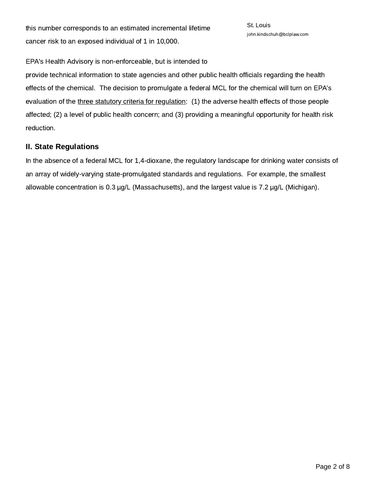this number corresponds to an estimated incremental lifetime cancer risk to an exposed individual of 1 in 10,000.

EPA's Health Advisory is non-enforceable, but is intended to

provide technical information to state agencies and other public health officials regarding the health effects of the chemical. The decision to promulgate a federal MCL for the chemical will turn on EPA's evaluation of the three [statutory criteria](https://www.law.cornell.edu/uscode/text/42/300g-1) for regulation: (1) the adverse health effects of those people affected; (2) a level of public health concern; and (3) providing a meaningful opportunity for health risk reduction.

### II. State Regulations

In the absence of a federal MCL for 1,4-dioxane, the regulatory landscape for drinking water consists of an array of widely-varying state-promulgated standards and regulations. For example, the smallest allowable concentration is 0.3 µg/L (Massachusetts), and the largest value is 7.2 µg/L (Michigan).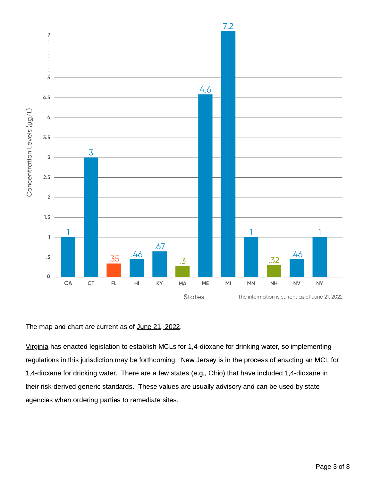

The map and chart are current as of June 21, 2022.

[Virginia](https://lis.virginia.gov/cgi-bin/legp604.exe?201+ful+CHAP1097+pdf) has enacted legislation to establish MCLs for 1,4-dioxane for drinking water, so implementing regulations in this jurisdiction may be forthcoming. New [Jersey](https://www.nj.gov/dep/14-dioxane/#:~:text=The%20New%20Jersey%20Drinking%20Water%20Quality%20Institute%20met%20in%20August,4%20Dioxane%20of%200.33%20ppb.) is in the process of enacting an MCL for 1,4-dioxane for drinking water. There are a few states (e.g., [Ohio](https://epa.ohio.gov/static/Portals/30/rules/past%20rules/3-1-2009%20thru%204-22-2012/3745-300-08.pdf)) that have included 1,4-dioxane in their risk-derived generic standards. These values are usually advisory and can be used by state agencies when ordering parties to remediate sites.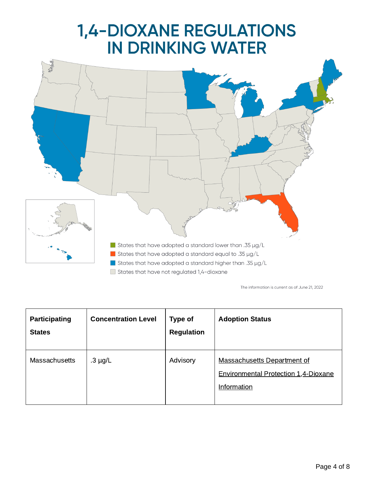# **1,4-DIOXANE REGULATIONS<br>IN DRINKING WATER**



The information is current as of June 21, 2022

| Participating<br><b>States</b> | <b>Concentration Level</b> | Type of<br><b>Regulation</b> | <b>Adoption Status</b>                                                                    |
|--------------------------------|----------------------------|------------------------------|-------------------------------------------------------------------------------------------|
| <b>Massachusetts</b>           | $.3 \mu g/L$               | Advisory                     | Massachusetts Department of<br><b>Environmental Protection 1,4-Dioxane</b><br>Information |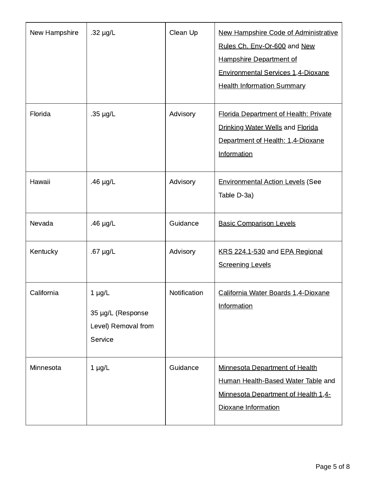| New Hampshire | .32 $\mu$ g/L                                                      | Clean Up     | New Hampshire Code of Administrative<br>Rules Ch. Env-Or-600 and New<br>Hampshire Department of<br>Environmental Services 1,4-Dioxane<br><b>Health Information Summary</b> |
|---------------|--------------------------------------------------------------------|--------------|----------------------------------------------------------------------------------------------------------------------------------------------------------------------------|
| Florida       | $.35 \mu g/L$                                                      | Advisory     | <b>Florida Department of Health: Private</b><br>Drinking Water Wells and Florida<br>Department of Health: 1,4-Dioxane<br>Information                                       |
| Hawaii        | $46 \mu g/L$                                                       | Advisory     | <b>Environmental Action Levels (See</b><br>Table D-3a)                                                                                                                     |
| Nevada        | $46 \mu g/L$                                                       | Guidance     | <b>Basic Comparison Levels</b>                                                                                                                                             |
| Kentucky      | $.67 \mu g/L$                                                      | Advisory     | KRS 224.1-530 and EPA Regional<br><b>Screening Levels</b>                                                                                                                  |
| California    | $1 \mu g/L$<br>35 µg/L (Response<br>Level) Removal from<br>Service | Notification | California Water Boards 1.4-Dioxane<br>Information                                                                                                                         |
| Minnesota     | $1 \mu g/L$                                                        | Guidance     | Minnesota Department of Health<br>Human Health-Based Water Table and<br>Minnesota Department of Health 1,4-<br>Dioxane Information                                         |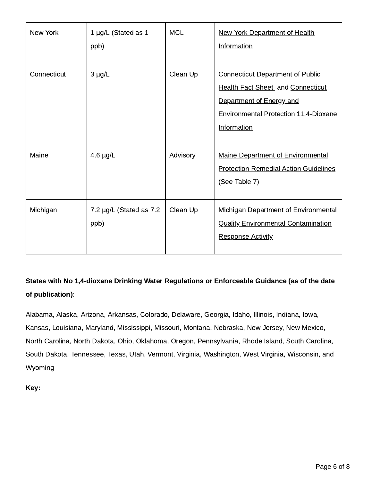| New York    | $1 \mu g/L$ (Stated as $1$<br>ppb) | <b>MCL</b> | New York Department of Health<br>Information                                                                                                                            |
|-------------|------------------------------------|------------|-------------------------------------------------------------------------------------------------------------------------------------------------------------------------|
| Connecticut | $3 \mu g/L$                        | Clean Up   | <b>Connecticut Department of Public</b><br><b>Health Fact Sheet</b> and Connecticut<br>Department of Energy and<br>Environmental Protection 11,4-Dioxane<br>Information |
| Maine       | $4.6 \mu g/L$                      | Advisory   | <b>Maine Department of Environmental</b><br><b>Protection Remedial Action Guidelines</b><br>(See Table 7)                                                               |
| Michigan    | 7.2 µg/L (Stated as 7.2<br>ppb)    | Clean Up   | Michigan Department of Environmental<br><b>Quality Environmental Contamination</b><br><b>Response Activity</b>                                                          |

States with No 1,4-dioxane Drinking Water Regulations or Enforceable Guidance (as of the date of publication):

Alabama, Alaska, Arizona, Arkansas, Colorado, Delaware, Georgia, Idaho, Illinois, Indiana, Iowa, Kansas, Louisiana, Maryland, Mississippi, Missouri, Montana, Nebraska, New Jersey, New Mexico, North Carolina, North Dakota, Ohio, Oklahoma, Oregon, Pennsylvania, Rhode Island, South Carolina, South Dakota, Tennessee, Texas, Utah, Vermont, Virginia, Washington, West Virginia, Wisconsin, and Wyoming

Key: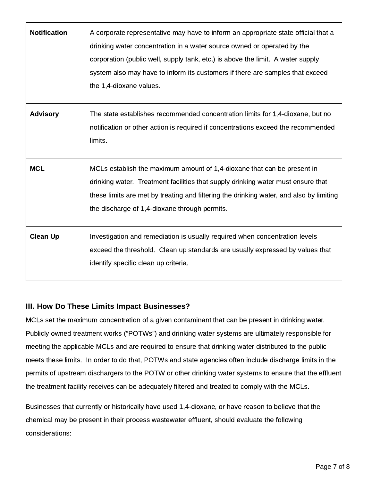| <b>Notification</b> | A corporate representative may have to inform an appropriate state official that a<br>drinking water concentration in a water source owned or operated by the<br>corporation (public well, supply tank, etc.) is above the limit. A water supply<br>system also may have to inform its customers if there are samples that exceed<br>the 1,4-dioxane values. |
|---------------------|--------------------------------------------------------------------------------------------------------------------------------------------------------------------------------------------------------------------------------------------------------------------------------------------------------------------------------------------------------------|
| <b>Advisory</b>     | The state establishes recommended concentration limits for 1,4-dioxane, but no<br>notification or other action is required if concentrations exceed the recommended<br>limits.                                                                                                                                                                               |
| <b>MCL</b>          | MCLs establish the maximum amount of 1,4-dioxane that can be present in<br>drinking water. Treatment facilities that supply drinking water must ensure that<br>these limits are met by treating and filtering the drinking water, and also by limiting<br>the discharge of 1,4-dioxane through permits.                                                      |
| <b>Clean Up</b>     | Investigation and remediation is usually required when concentration levels<br>exceed the threshold. Clean up standards are usually expressed by values that<br>identify specific clean up criteria.                                                                                                                                                         |

### III. How Do These Limits Impact Businesses?

MCLs set the maximum concentration of a given contaminant that can be present in drinking water. Publicly owned treatment works ("POTWs") and drinking water systems are ultimately responsible for meeting the applicable MCLs and are required to ensure that drinking water distributed to the public meets these limits. In order to do that, POTWs and state agencies often include discharge limits in the permits of upstream dischargers to the POTW or other drinking water systems to ensure that the effluent the treatment facility receives can be adequately filtered and treated to comply with the MCLs.

Businesses that currently or historically have used 1,4-dioxane, or have reason to believe that the chemical may be present in their process wastewater effluent, should evaluate the following considerations: